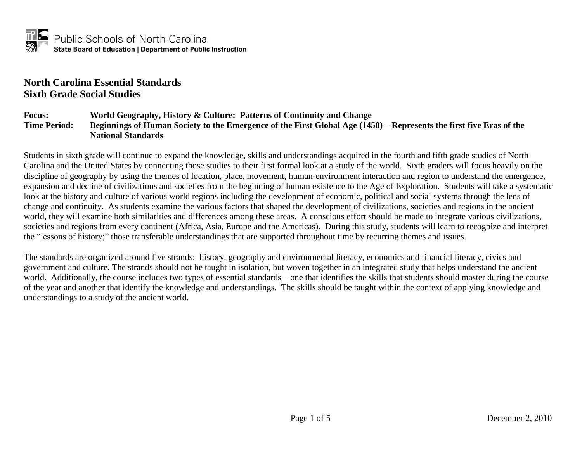#### **North Carolina Essential Standards Sixth Grade Social Studies**

#### **Focus: World Geography, History & Culture: Patterns of Continuity and Change Time Period: Beginnings of Human Society to the Emergence of the First Global Age (1450) – Represents the first five Eras of the National Standards**

Students in sixth grade will continue to expand the knowledge, skills and understandings acquired in the fourth and fifth grade studies of North Carolina and the United States by connecting those studies to their first formal look at a study of the world. Sixth graders will focus heavily on the discipline of geography by using the themes of location, place, movement, human-environment interaction and region to understand the emergence, expansion and decline of civilizations and societies from the beginning of human existence to the Age of Exploration. Students will take a systematic look at the history and culture of various world regions including the development of economic, political and social systems through the lens of change and continuity. As students examine the various factors that shaped the development of civilizations, societies and regions in the ancient world, they will examine both similarities and differences among these areas. A conscious effort should be made to integrate various civilizations, societies and regions from every continent (Africa, Asia, Europe and the Americas). During this study, students will learn to recognize and interpret the "lessons of history;" those transferable understandings that are supported throughout time by recurring themes and issues.

The standards are organized around five strands: history, geography and environmental literacy, economics and financial literacy, civics and government and culture. The strands should not be taught in isolation, but woven together in an integrated study that helps understand the ancient world. Additionally, the course includes two types of essential standards – one that identifies the skills that students should master during the course of the year and another that identify the knowledge and understandings. The skills should be taught within the context of applying knowledge and understandings to a study of the ancient world.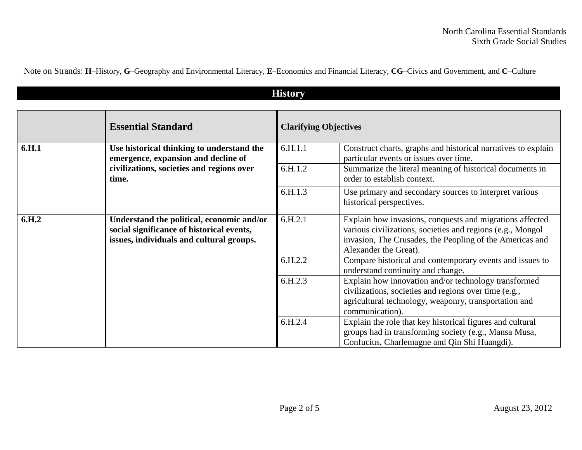Note on Strands: **H**–History, **G**–Geography and Environmental Literacy, **E**–Economics and Financial Literacy, **CG**–Civics and Government, and **C**–Culture

| <b>History</b>    |                                                                                                                                    |                              |                                                                                                                                                                                                             |
|-------------------|------------------------------------------------------------------------------------------------------------------------------------|------------------------------|-------------------------------------------------------------------------------------------------------------------------------------------------------------------------------------------------------------|
|                   | <b>Essential Standard</b>                                                                                                          | <b>Clarifying Objectives</b> |                                                                                                                                                                                                             |
| 6.H.1             | Use historical thinking to understand the<br>emergence, expansion and decline of                                                   | 6.H.1.1                      | Construct charts, graphs and historical narratives to explain<br>particular events or issues over time.                                                                                                     |
|                   | civilizations, societies and regions over<br>time.                                                                                 | 6.H.1.2                      | Summarize the literal meaning of historical documents in<br>order to establish context.                                                                                                                     |
|                   |                                                                                                                                    | 6.H.1.3                      | Use primary and secondary sources to interpret various<br>historical perspectives.                                                                                                                          |
| 6.H <sub>.2</sub> | Understand the political, economic and/or<br>social significance of historical events,<br>issues, individuals and cultural groups. | 6.H.2.1                      | Explain how invasions, conquests and migrations affected<br>various civilizations, societies and regions (e.g., Mongol<br>invasion, The Crusades, the Peopling of the Americas and<br>Alexander the Great). |
|                   |                                                                                                                                    | 6.H.2.2                      | Compare historical and contemporary events and issues to<br>understand continuity and change.                                                                                                               |
|                   |                                                                                                                                    | 6.H.2.3                      | Explain how innovation and/or technology transformed<br>civilizations, societies and regions over time (e.g.,<br>agricultural technology, weaponry, transportation and<br>communication).                   |
|                   |                                                                                                                                    | 6.H.2.4                      | Explain the role that key historical figures and cultural<br>groups had in transforming society (e.g., Mansa Musa,<br>Confucius, Charlemagne and Qin Shi Huangdi).                                          |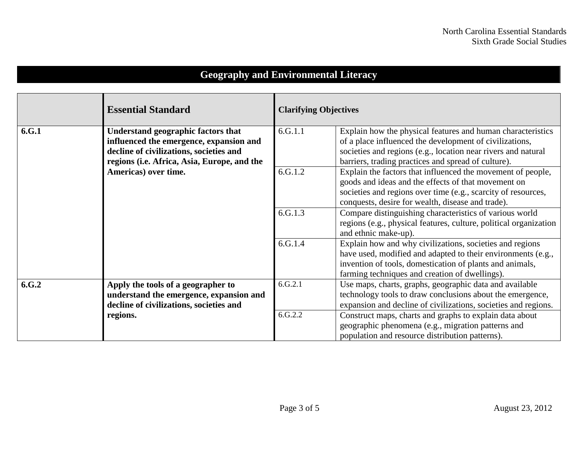# **Geography and Environmental Literacy**

|       | <b>Essential Standard</b>                                                                                                | <b>Clarifying Objectives</b> |                                                                                                                                                                                                                                                                                                 |
|-------|--------------------------------------------------------------------------------------------------------------------------|------------------------------|-------------------------------------------------------------------------------------------------------------------------------------------------------------------------------------------------------------------------------------------------------------------------------------------------|
| 6.G.1 | Understand geographic factors that<br>influenced the emergence, expansion and<br>decline of civilizations, societies and | 6.G.1.1                      | Explain how the physical features and human characteristics<br>of a place influenced the development of civilizations,<br>societies and regions (e.g., location near rivers and natural                                                                                                         |
|       | regions (i.e. Africa, Asia, Europe, and the<br>Americas) over time.                                                      | 6.G.1.2                      | barriers, trading practices and spread of culture).<br>Explain the factors that influenced the movement of people,<br>goods and ideas and the effects of that movement on<br>societies and regions over time (e.g., scarcity of resources,<br>conquests, desire for wealth, disease and trade). |
|       |                                                                                                                          | 6.G.1.3                      | Compare distinguishing characteristics of various world<br>regions (e.g., physical features, culture, political organization<br>and ethnic make-up).                                                                                                                                            |
|       |                                                                                                                          | 6.G.1.4                      | Explain how and why civilizations, societies and regions<br>have used, modified and adapted to their environments (e.g.,<br>invention of tools, domestication of plants and animals,<br>farming techniques and creation of dwellings).                                                          |
| 6.G.2 | Apply the tools of a geographer to<br>understand the emergence, expansion and<br>decline of civilizations, societies and | 6.G.2.1                      | Use maps, charts, graphs, geographic data and available<br>technology tools to draw conclusions about the emergence,<br>expansion and decline of civilizations, societies and regions.                                                                                                          |
|       | regions.                                                                                                                 | 6.G.2.2                      | Construct maps, charts and graphs to explain data about<br>geographic phenomena (e.g., migration patterns and<br>population and resource distribution patterns).                                                                                                                                |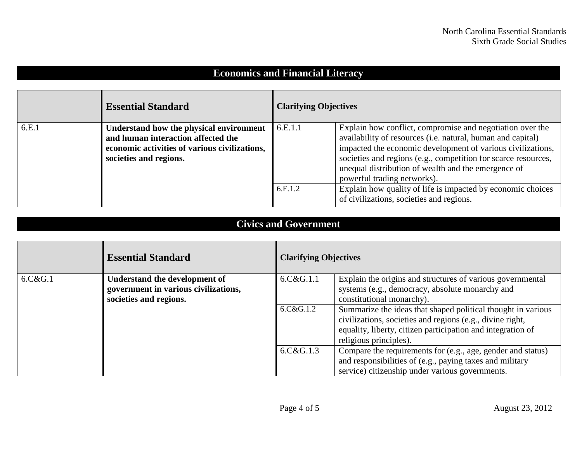### **Economics and Financial Literacy**

|       | <b>Essential Standard</b>                                                                                                                                | <b>Clarifying Objectives</b> |                                                                                                                                                                                                                                                                                                                                                 |
|-------|----------------------------------------------------------------------------------------------------------------------------------------------------------|------------------------------|-------------------------------------------------------------------------------------------------------------------------------------------------------------------------------------------------------------------------------------------------------------------------------------------------------------------------------------------------|
| 6.E.1 | Understand how the physical environment<br>and human interaction affected the<br>economic activities of various civilizations,<br>societies and regions. | 6.E.1.1                      | Explain how conflict, compromise and negotiation over the<br>availability of resources (i.e. natural, human and capital)<br>impacted the economic development of various civilizations,<br>societies and regions (e.g., competition for scarce resources,<br>unequal distribution of wealth and the emergence of<br>powerful trading networks). |
|       |                                                                                                                                                          | 6.E.1.2                      | Explain how quality of life is impacted by economic choices<br>of civilizations, societies and regions.                                                                                                                                                                                                                                         |

#### **Civics and Government**

|         | <b>Essential Standard</b>            | <b>Clarifying Objectives</b> |                                                              |
|---------|--------------------------------------|------------------------------|--------------------------------------------------------------|
| 6.C&G.1 | <b>Understand the development of</b> | 6.C&G.1.1                    | Explain the origins and structures of various governmental   |
|         | government in various civilizations, |                              | systems (e.g., democracy, absolute monarchy and              |
|         | societies and regions.               |                              | constitutional monarchy).                                    |
|         |                                      | 6.C&G.1.2                    | Summarize the ideas that shaped political thought in various |
|         |                                      |                              | civilizations, societies and regions (e.g., divine right,    |
|         |                                      |                              | equality, liberty, citizen participation and integration of  |
|         |                                      |                              | religious principles).                                       |
|         |                                      | 6.C&G.1.3                    | Compare the requirements for (e.g., age, gender and status)  |
|         |                                      |                              | and responsibilities of (e.g., paying taxes and military     |
|         |                                      |                              | service) citizenship under various governments.              |